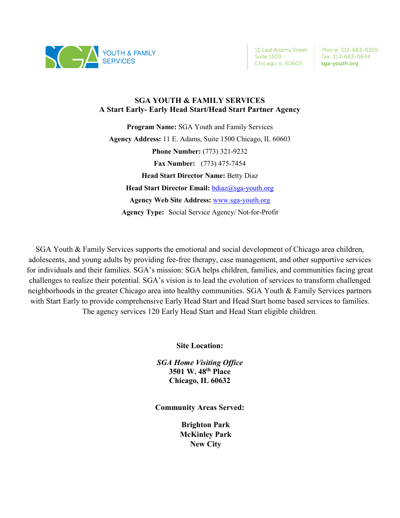

11 East Adams Street Suite 1500 Chicago, IL 60603

Phone: 312-663-0305 Fax: 312-663-0644 sga-youth.org

#### **SGA YOUTH & FAMILY SERVICES A Start Early- Early Head Start/Head Start Partner Agency**

**Program Name:** SGA Youth and Family Services **Agency Address:** 11 E. Adams, Suite 1500 Chicago, IL 60603 **Phone Number:** (773) 321-9232 **Fax Number:** (773) 475-7454 **Head Start Director Name:** Betty Diaz **Head Start Director Email:** bdiaz@sga-youth.org **Agency Web Site Address:** www.sga-youth.org **Agency Type:** Social Service Agency/ Not-for-Profit

SGA Youth & Family Services supports the emotional and social development of Chicago area children, adolescents, and young adults by providing fee-free therapy, case management, and other supportive services for individuals and their families. SGA's mission: SGA helps children, families, and communities facing great challenges to realize their potential. SGA's vision is to lead the evolution of services to transform challenged neighborhoods in the greater Chicago area into healthy communities. SGA Youth & Family Services partners with Start Early to provide comprehensive Early Head Start and Head Start home based services to families. The agency services 120 Early Head Start and Head Start eligible children.

**Site Location:**

*SGA Home Visiting Office* **3501 W. 48th Place Chicago, IL 60632**

**Community Areas Served:**

**Brighton Park McKinley Park New City**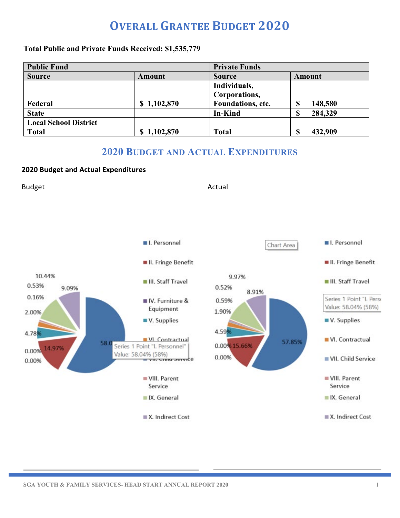# **OVERALL GRANTEE BUDGET 2020**

#### **Total Public and Private Funds Received: \$1,535,779**

| <b>Public Fund</b>           |             | <b>Private Funds</b> |              |
|------------------------------|-------------|----------------------|--------------|
| <b>Source</b>                | Amount      | <b>Source</b>        | Amount       |
|                              |             | Individuals,         |              |
|                              |             | Corporations,        |              |
| Federal                      | \$1,102,870 | Foundations, etc.    | 148,580<br>S |
| <b>State</b>                 |             | In-Kind              | 284,329<br>0 |
| <b>Local School District</b> |             |                      |              |
| <b>Total</b>                 | \$1,102,870 | <b>Total</b>         | 432,909<br>œ |

### **2020 BUDGET AND ACTUAL EXPENDITURES**

#### **2020 Budget and Actual Expenditures**

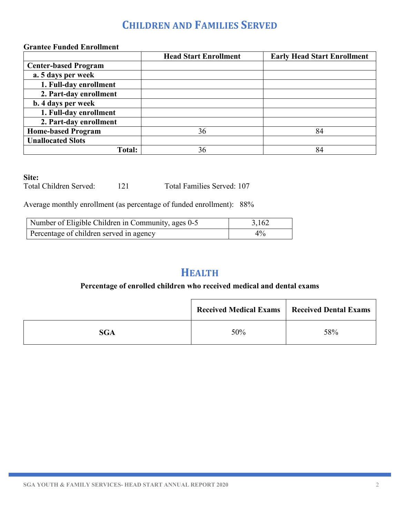## **CHILDREN AND FAMILIES SERVED**

### **Grantee Funded Enrollment**

|                             | <b>Head Start Enrollment</b> | <b>Early Head Start Enrollment</b> |
|-----------------------------|------------------------------|------------------------------------|
| <b>Center-based Program</b> |                              |                                    |
| a. 5 days per week          |                              |                                    |
| 1. Full-day enrollment      |                              |                                    |
| 2. Part-day enrollment      |                              |                                    |
| <b>b.</b> 4 days per week   |                              |                                    |
| 1. Full-day enrollment      |                              |                                    |
| 2. Part-day enrollment      |                              |                                    |
| <b>Home-based Program</b>   | 36                           | 84                                 |
| <b>Unallocated Slots</b>    |                              |                                    |
| Total:                      | 36                           | 84                                 |

#### **Site:**

Total Children Served: 121 Total Families Served: 107

Average monthly enrollment (as percentage of funded enrollment): 88%

| Number of Eligible Children in Community, ages 0-5 | 3,162 |
|----------------------------------------------------|-------|
| Percentage of children served in agency            | $4\%$ |

## **HEALTH**

### **Percentage of enrolled children who received medical and dental exams**

|            | <b>Received Medical Exams</b> | <b>Received Dental Exams</b> |
|------------|-------------------------------|------------------------------|
| <b>SGA</b> | 50%                           | 58%                          |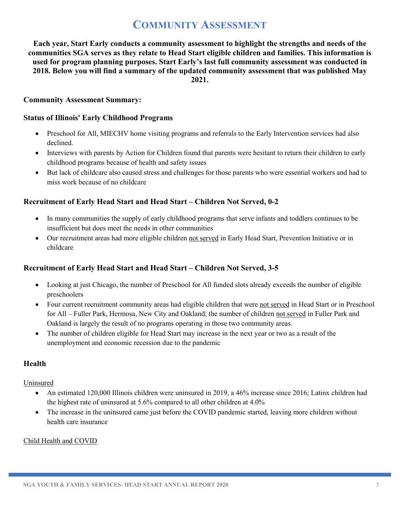## **COMMUNITY ASSESSMENT**

**Each year, Start Early conducts a community assessment to highlight the strengths and needs of the communities SGA serves as they relate to Head Start eligible children and families. This information is used for program planning purposes. Start Early's last full community assessment was conducted in 2018. Below you will find a summary of the updated community assessment that was published May 2021.** 

#### **Community Assessment Summary:**

#### **Status of Illinois' Early Childhood Programs**

- Preschool for All, MIECHV home visiting programs and referrals to the Early Intervention services had also declined.
- Interviews with parents by Action for Children found that parents were hesitant to return their children to early childhood programs because of health and safety issues
- But lack of childcare also caused stress and challenges for those parents who were essential workers and had to miss work because of no childcare

#### **Recruitment of Early Head Start and Head Start – Children Not Served, 0-2**

- In many communities the supply of early childhood programs that serve infants and toddlers continues to be insufficient but does meet the needs in other communities
- Our recruitment areas had more eligible children not served in Early Head Start, Prevention Initiative or in childcare

#### **Recruitment of Early Head Start and Head Start – Children Not Served, 3-5**

- Looking at just Chicago, the number of Preschool for All funded slots already exceeds the number of eligible preschoolers
- Four current recruitment community areas had eligible children that were not served in Head Start or in Preschool for All – Fuller Park, Hermosa, New City and Oakland; the number of children not served in Fuller Park and Oakland is largely the result of no programs operating in those two community areas.
- The number of children eligible for Head Start may increase in the next year or two as a result of the unemployment and economic recession due to the pandemic

#### **Health**

#### Uninsured

- An estimated 120,000 Illinois children were uninsured in 2019, a 46% increase since 2016; Latinx children had the highest rate of uninsured at 5.6% compared to all other children at 4.0%
- The increase in the uninsured came just before the COVID pandemic started, leaving more children without health care insurance

#### Child Health and COVID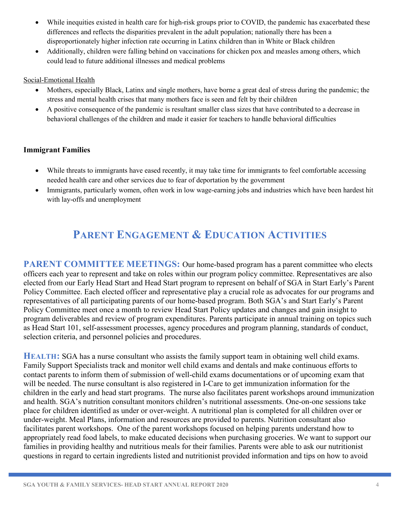- While inequities existed in health care for high-risk groups prior to COVID, the pandemic has exacerbated these differences and reflects the disparities prevalent in the adult population; nationally there has been a disproportionately higher infection rate occurring in Latinx children than in White or Black children
- Additionally, children were falling behind on vaccinations for chicken pox and measles among others, which could lead to future additional illnesses and medical problems

#### Social-Emotional Health

- Mothers, especially Black, Latinx and single mothers, have borne a great deal of stress during the pandemic; the stress and mental health crises that many mothers face is seen and felt by their children
- A positive consequence of the pandemic is resultant smaller class sizes that have contributed to a decrease in behavioral challenges of the children and made it easier for teachers to handle behavioral difficulties

### **Immigrant Families**

- While threats to immigrants have eased recently, it may take time for immigrants to feel comfortable accessing needed health care and other services due to fear of deportation by the government
- Immigrants, particularly women, often work in low wage-earning jobs and industries which have been hardest hit with lay-offs and unemployment

# **PARENT ENGAGEMENT & EDUCATION ACTIVITIES**

**PARENT COMMITTEE MEETINGS:** Our home-based program has a parent committee who elects officers each year to represent and take on roles within our program policy committee. Representatives are also elected from our Early Head Start and Head Start program to represent on behalf of SGA in Start Early's Parent Policy Committee. Each elected officer and representative play a crucial role as advocates for our programs and representatives of all participating parents of our home-based program. Both SGA's and Start Early's Parent Policy Committee meet once a month to review Head Start Policy updates and changes and gain insight to program deliverables and review of program expenditures. Parents participate in annual training on topics such as Head Start 101, self-assessment processes, agency procedures and program planning, standards of conduct, selection criteria, and personnel policies and procedures.

**HEALTH:** SGA has a nurse consultant who assists the family support team in obtaining well child exams. Family Support Specialists track and monitor well child exams and dentals and make continuous efforts to contact parents to inform them of submission of well-child exams documentations or of upcoming exam that will be needed. The nurse consultant is also registered in I-Care to get immunization information for the children in the early and head start programs. The nurse also facilitates parent workshops around immunization and health. SGA's nutrition consultant monitors children's nutritional assessments. One-on-one sessions take place for children identified as under or over-weight. A nutritional plan is completed for all children over or under-weight. Meal Plans, information and resources are provided to parents. Nutrition consultant also facilitates parent workshops. One of the parent workshops focused on helping parents understand how to appropriately read food labels, to make educated decisions when purchasing groceries. We want to support our families in providing healthy and nutritious meals for their families. Parents were able to ask our nutritionist questions in regard to certain ingredients listed and nutritionist provided information and tips on how to avoid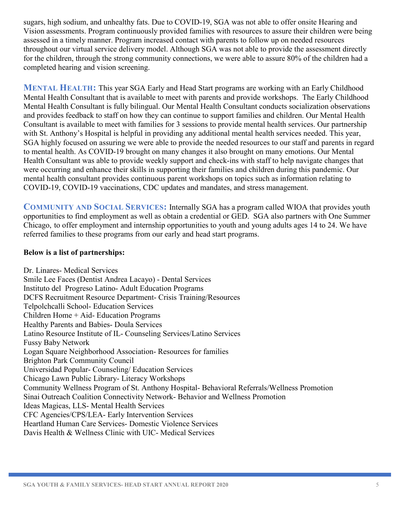sugars, high sodium, and unhealthy fats. Due to COVID-19, SGA was not able to offer onsite Hearing and Vision assessments. Program continuously provided families with resources to assure their children were being assessed in a timely manner. Program increased contact with parents to follow up on needed resources throughout our virtual service delivery model. Although SGA was not able to provide the assessment directly for the children, through the strong community connections, we were able to assure 80% of the children had a completed hearing and vision screening.

**MENTAL HEALTH:** This year SGA Early and Head Start programs are working with an Early Childhood Mental Health Consultant that is available to meet with parents and provide workshops. The Early Childhood Mental Health Consultant is fully bilingual. Our Mental Health Consultant conducts socialization observations and provides feedback to staff on how they can continue to support families and children. Our Mental Health Consultant is available to meet with families for 3 sessions to provide mental health services. Our partnership with St. Anthony's Hospital is helpful in providing any additional mental health services needed. This year, SGA highly focused on assuring we were able to provide the needed resources to our staff and parents in regard to mental health. As COVID-19 brought on many changes it also brought on many emotions. Our Mental Health Consultant was able to provide weekly support and check-ins with staff to help navigate changes that were occurring and enhance their skills in supporting their families and children during this pandemic. Our mental health consultant provides continuous parent workshops on topics such as information relating to COVID-19, COVID-19 vaccinations, CDC updates and mandates, and stress management.

**COMMUNITY AND SOCIAL SERVICES:** Internally SGA has a program called WIOA that provides youth opportunities to find employment as well as obtain a credential or GED. SGA also partners with One Summer Chicago, to offer employment and internship opportunities to youth and young adults ages 14 to 24. We have referred families to these programs from our early and head start programs.

#### **Below is a list of partnerships:**

Dr. Linares- Medical Services Smile Lee Faces (Dentist Andrea Lacayo) - Dental Services Instituto del Progreso Latino- Adult Education Programs DCFS Recruitment Resource Department- Crisis Training/Resources Telpolchcalli School- Education Services Children Home + Aid- Education Programs Healthy Parents and Babies- Doula Services Latino Resource Institute of IL- Counseling Services/Latino Services Fussy Baby Network Logan Square Neighborhood Association- Resources for families Brighton Park Community Council Universidad Popular- Counseling/ Education Services Chicago Lawn Public Library- Literacy Workshops Community Wellness Program of St. Anthony Hospital- Behavioral Referrals/Wellness Promotion Sinai Outreach Coalition Connectivity Network- Behavior and Wellness Promotion Ideas Magicas, LLS- Mental Health Services CFC Agencies/CPS/LEA- Early Intervention Services Heartland Human Care Services- Domestic Violence Services Davis Health & Wellness Clinic with UIC- Medical Services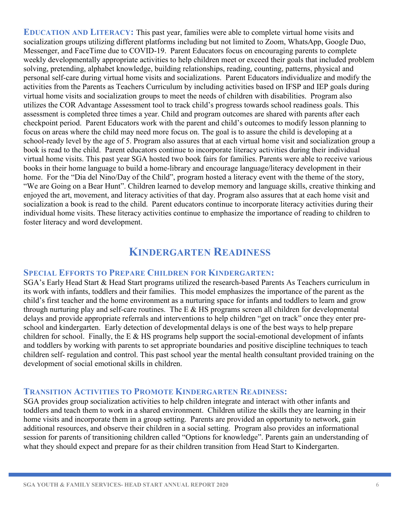**EDUCATION AND LITERACY:** This past year, families were able to complete virtual home visits and socialization groups utilizing different platforms including but not limited to Zoom, WhatsApp, Google Duo, Messenger, and FaceTime due to COVID-19. Parent Educators focus on encouraging parents to complete weekly developmentally appropriate activities to help children meet or exceed their goals that included problem solving, pretending, alphabet knowledge, building relationships, reading, counting, patterns, physical and personal self-care during virtual home visits and socializations. Parent Educators individualize and modify the activities from the Parents as Teachers Curriculum by including activities based on IFSP and IEP goals during virtual home visits and socialization groups to meet the needs of children with disabilities. Program also utilizes the COR Advantage Assessment tool to track child's progress towards school readiness goals. This assessment is completed three times a year. Child and program outcomes are shared with parents after each checkpoint period. Parent Educators work with the parent and child's outcomes to modify lesson planning to focus on areas where the child may need more focus on. The goal is to assure the child is developing at a school-ready level by the age of 5. Program also assures that at each virtual home visit and socialization group a book is read to the child. Parent educators continue to incorporate literacy activities during their individual virtual home visits. This past year SGA hosted two book fairs for families. Parents were able to receive various books in their home language to build a home-library and encourage language/literacy development in their home. For the "Dia del Nino/Day of the Child", program hosted a literacy event with the theme of the story, "We are Going on a Bear Hunt". Children learned to develop memory and language skills, creative thinking and enjoyed the art, movement, and literacy activities of that day. Program also assures that at each home visit and socialization a book is read to the child. Parent educators continue to incorporate literacy activities during their individual home visits. These literacy activities continue to emphasize the importance of reading to children to foster literacy and word development.

## **KINDERGARTEN READINESS**

### **SPECIAL EFFORTS TO PREPARE CHILDREN FOR KINDERGARTEN:**

SGA's Early Head Start & Head Start programs utilized the research-based Parents As Teachers curriculum in its work with infants, toddlers and their families. This model emphasizes the importance of the parent as the child's first teacher and the home environment as a nurturing space for infants and toddlers to learn and grow through nurturing play and self-care routines. The E & HS programs screen all children for developmental delays and provide appropriate referrals and interventions to help children "get on track" once they enter preschool and kindergarten. Early detection of developmental delays is one of the best ways to help prepare children for school. Finally, the E  $\&$  HS programs help support the social-emotional development of infants and toddlers by working with parents to set appropriate boundaries and positive discipline techniques to teach children self- regulation and control. This past school year the mental health consultant provided training on the development of social emotional skills in children.

#### **TRANSITION ACTIVITIES TO PROMOTE KINDERGARTEN READINESS:**

SGA provides group socialization activities to help children integrate and interact with other infants and toddlers and teach them to work in a shared environment. Children utilize the skills they are learning in their home visits and incorporate them in a group setting. Parents are provided an opportunity to network, gain additional resources, and observe their children in a social setting. Program also provides an informational session for parents of transitioning children called "Options for knowledge". Parents gain an understanding of what they should expect and prepare for as their children transition from Head Start to Kindergarten.